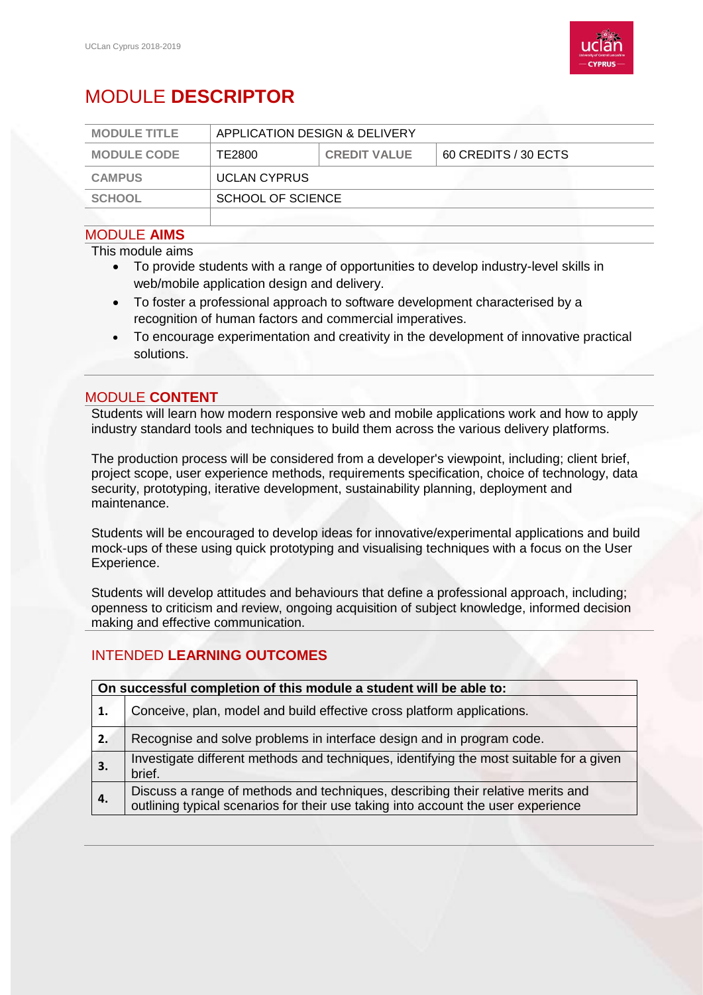

# MODULE **DESCRIPTOR**

| <b>MODULE TITLE</b> | APPLICATION DESIGN & DELIVERY |                     |                      |
|---------------------|-------------------------------|---------------------|----------------------|
| <b>MODULE CODE</b>  | TE2800                        | <b>CREDIT VALUE</b> | 60 CREDITS / 30 ECTS |
| <b>CAMPUS</b>       | <b>UCLAN CYPRUS</b>           |                     |                      |
| <b>SCHOOL</b>       | SCHOOL OF SCIENCE             |                     |                      |
|                     |                               |                     |                      |

#### MODULE **AIMS**

This module aims

- To provide students with a range of opportunities to develop industry-level skills in web/mobile application design and delivery.
- To foster a professional approach to software development characterised by a recognition of human factors and commercial imperatives.
- To encourage experimentation and creativity in the development of innovative practical solutions.

#### MODULE **CONTENT**

Students will learn how modern responsive web and mobile applications work and how to apply industry standard tools and techniques to build them across the various delivery platforms.

The production process will be considered from a developer's viewpoint, including; client brief, project scope, user experience methods, requirements specification, choice of technology, data security, prototyping, iterative development, sustainability planning, deployment and maintenance.

Students will be encouraged to develop ideas for innovative/experimental applications and build mock-ups of these using quick prototyping and visualising techniques with a focus on the User Experience.

Students will develop attitudes and behaviours that define a professional approach, including; openness to criticism and review, ongoing acquisition of subject knowledge, informed decision making and effective communication.

## INTENDED **LEARNING OUTCOMES**

| On successful completion of this module a student will be able to: |                                                                                                                                                                      |  |
|--------------------------------------------------------------------|----------------------------------------------------------------------------------------------------------------------------------------------------------------------|--|
| 1.                                                                 | Conceive, plan, model and build effective cross platform applications.                                                                                               |  |
| 2.                                                                 | Recognise and solve problems in interface design and in program code.                                                                                                |  |
| 3.                                                                 | Investigate different methods and techniques, identifying the most suitable for a given<br>brief.                                                                    |  |
| 4.                                                                 | Discuss a range of methods and techniques, describing their relative merits and<br>outlining typical scenarios for their use taking into account the user experience |  |